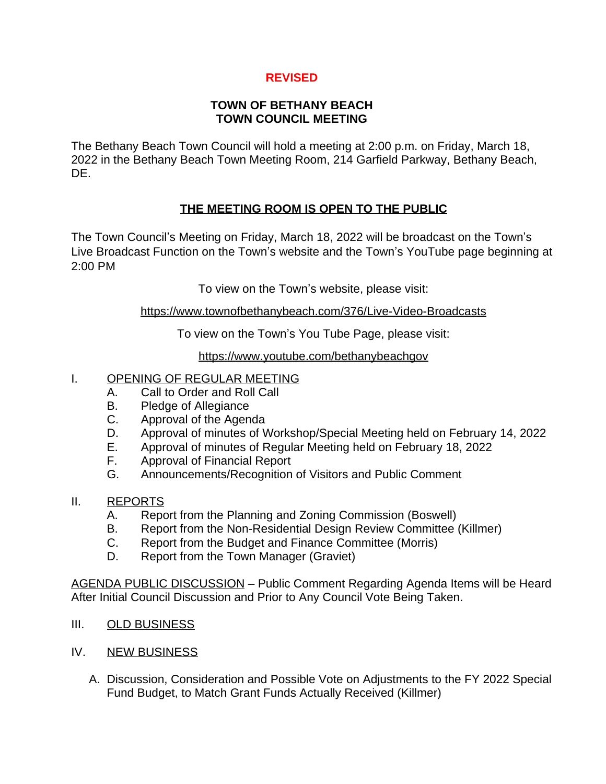# **REVISED**

### **TOWN OF BETHANY BEACH TOWN COUNCIL MEETING**

The Bethany Beach Town Council will hold a meeting at 2:00 p.m. on Friday, March 18, 2022 in the Bethany Beach Town Meeting Room, 214 Garfield Parkway, Bethany Beach, DE.

## **THE MEETING ROOM IS OPEN TO THE PUBLIC**

The Town Council's Meeting on Friday, March 18, 2022 will be broadcast on the Town's Live Broadcast Function on the Town's website and the Town's YouTube page beginning at 2:00 PM

To view on the Town's website, please visit:

#### <https://www.townofbethanybeach.com/376/Live-Video-Broadcasts>

To view on the Town's You Tube Page, please visit:

<https://www.youtube.com/bethanybeachgov>

## I. OPENING OF REGULAR MEETING

- A. Call to Order and Roll Call
- B. Pledge of Allegiance
- C. Approval of the Agenda
- D. Approval of minutes of Workshop/Special Meeting held on February 14, 2022
- E. Approval of minutes of Regular Meeting held on February 18, 2022
- F. Approval of Financial Report
- G. Announcements/Recognition of Visitors and Public Comment

#### II. REPORTS

- A. Report from the Planning and Zoning Commission (Boswell)
- B. Report from the Non-Residential Design Review Committee (Killmer)
- C. Report from the Budget and Finance Committee (Morris)
- D. Report from the Town Manager (Graviet)

AGENDA PUBLIC DISCUSSION – Public Comment Regarding Agenda Items will be Heard After Initial Council Discussion and Prior to Any Council Vote Being Taken.

- III. OLD BUSINESS
- IV. NEW BUSINESS
	- A. Discussion, Consideration and Possible Vote on Adjustments to the FY 2022 Special Fund Budget, to Match Grant Funds Actually Received (Killmer)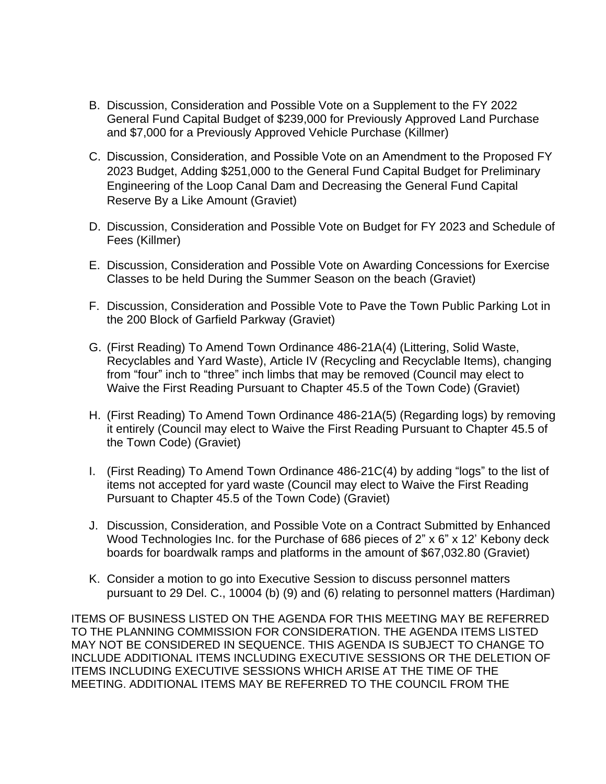- B. Discussion, Consideration and Possible Vote on a Supplement to the FY 2022 General Fund Capital Budget of \$239,000 for Previously Approved Land Purchase and \$7,000 for a Previously Approved Vehicle Purchase (Killmer)
- C. Discussion, Consideration, and Possible Vote on an Amendment to the Proposed FY 2023 Budget, Adding \$251,000 to the General Fund Capital Budget for Preliminary Engineering of the Loop Canal Dam and Decreasing the General Fund Capital Reserve By a Like Amount (Graviet)
- D. Discussion, Consideration and Possible Vote on Budget for FY 2023 and Schedule of Fees (Killmer)
- E. Discussion, Consideration and Possible Vote on Awarding Concessions for Exercise Classes to be held During the Summer Season on the beach (Graviet)
- F. Discussion, Consideration and Possible Vote to Pave the Town Public Parking Lot in the 200 Block of Garfield Parkway (Graviet)
- G. (First Reading) To Amend Town Ordinance 486-21A(4) (Littering, Solid Waste, Recyclables and Yard Waste), Article IV (Recycling and Recyclable Items), changing from "four" inch to "three" inch limbs that may be removed (Council may elect to Waive the First Reading Pursuant to Chapter 45.5 of the Town Code) (Graviet)
- H. (First Reading) To Amend Town Ordinance 486-21A(5) (Regarding logs) by removing it entirely (Council may elect to Waive the First Reading Pursuant to Chapter 45.5 of the Town Code) (Graviet)
- I. (First Reading) To Amend Town Ordinance 486-21C(4) by adding "logs" to the list of items not accepted for yard waste (Council may elect to Waive the First Reading Pursuant to Chapter 45.5 of the Town Code) (Graviet)
- J. Discussion, Consideration, and Possible Vote on a Contract Submitted by Enhanced Wood Technologies Inc. for the Purchase of 686 pieces of 2" x 6" x 12' Kebony deck boards for boardwalk ramps and platforms in the amount of \$67,032.80 (Graviet)
- K. Consider a motion to go into Executive Session to discuss personnel matters pursuant to 29 Del. C., 10004 (b) (9) and (6) relating to personnel matters (Hardiman)

ITEMS OF BUSINESS LISTED ON THE AGENDA FOR THIS MEETING MAY BE REFERRED TO THE PLANNING COMMISSION FOR CONSIDERATION. THE AGENDA ITEMS LISTED MAY NOT BE CONSIDERED IN SEQUENCE. THIS AGENDA IS SUBJECT TO CHANGE TO INCLUDE ADDITIONAL ITEMS INCLUDING EXECUTIVE SESSIONS OR THE DELETION OF ITEMS INCLUDING EXECUTIVE SESSIONS WHICH ARISE AT THE TIME OF THE MEETING. ADDITIONAL ITEMS MAY BE REFERRED TO THE COUNCIL FROM THE